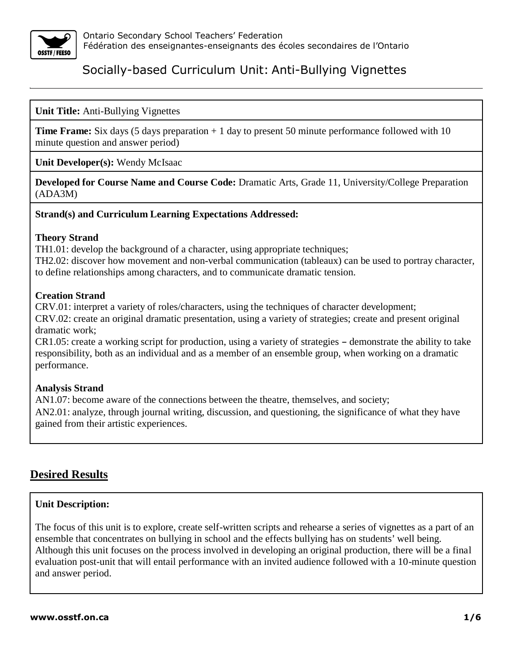

## **Unit Title:** Anti-Bullying Vignettes

**Time Frame:** Six days (5 days preparation + 1 day to present 50 minute performance followed with 10 minute question and answer period)

**Unit Developer(s):** Wendy McIsaac

**Developed for Course Name and Course Code:** Dramatic Arts, Grade 11, University/College Preparation (ADA3M)

### **Strand(s) and Curriculum Learning Expectations Addressed:**

#### **Theory Strand**

TH1.01: develop the background of a character, using appropriate techniques; TH2.02: discover how movement and non-verbal communication (tableaux) can be used to portray character, to define relationships among characters, and to communicate dramatic tension.

### **Creation Strand**

CRV.01: interpret a variety of roles/characters, using the techniques of character development; CRV.02: create an original dramatic presentation, using a variety of strategies; create and present original dramatic work;

 $CR1.05$ : create a working script for production, using a variety of strategies – demonstrate the ability to take responsibility, both as an individual and as a member of an ensemble group, when working on a dramatic performance.

### **Analysis Strand**

AN1.07: become aware of the connections between the theatre, themselves, and society; AN2.01: analyze, through journal writing, discussion, and questioning, the significance of what they have gained from their artistic experiences.

# **Desired Results**

### **Unit Description:**

The focus of this unit is to explore, create self-written scripts and rehearse a series of vignettes as a part of an ensemble that concentrates on bullying in school and the effects bullying has on students' well being. Although this unit focuses on the process involved in developing an original production, there will be a final evaluation post-unit that will entail performance with an invited audience followed with a 10-minute question and answer period.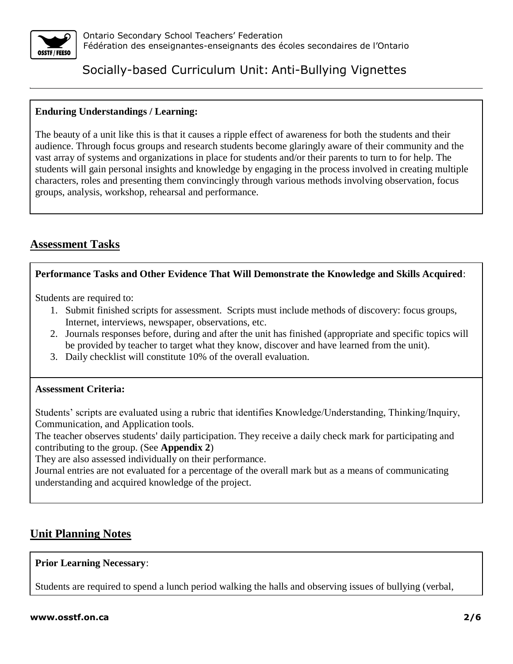

## **Enduring Understandings / Learning:**

The beauty of a unit like this is that it causes a ripple effect of awareness for both the students and their audience. Through focus groups and research students become glaringly aware of their community and the vast array of systems and organizations in place for students and/or their parents to turn to for help. The students will gain personal insights and knowledge by engaging in the process involved in creating multiple characters, roles and presenting them convincingly through various methods involving observation, focus groups, analysis, workshop, rehearsal and performance.

# **Assessment Tasks**

## **Performance Tasks and Other Evidence That Will Demonstrate the Knowledge and Skills Acquired**:

Students are required to:

- 1. Submit finished scripts for assessment. Scripts must include methods of discovery: focus groups, Internet, interviews, newspaper, observations, etc.
- 2. Journals responses before, during and after the unit has finished (appropriate and specific topics will be provided by teacher to target what they know, discover and have learned from the unit).
- 3. Daily checklist will constitute 10% of the overall evaluation.

### **Assessment Criteria:**

Students' scripts are evaluated using a rubric that identifies Knowledge/Understanding, Thinking/Inquiry, Communication, and Application tools.

The teacher observes students' daily participation. They receive a daily check mark for participating and contributing to the group. (See **Appendix 2**)

They are also assessed individually on their performance.

Journal entries are not evaluated for a percentage of the overall mark but as a means of communicating understanding and acquired knowledge of the project.

# **Unit Planning Notes**

### **Prior Learning Necessary**:

Students are required to spend a lunch period walking the halls and observing issues of bullying (verbal,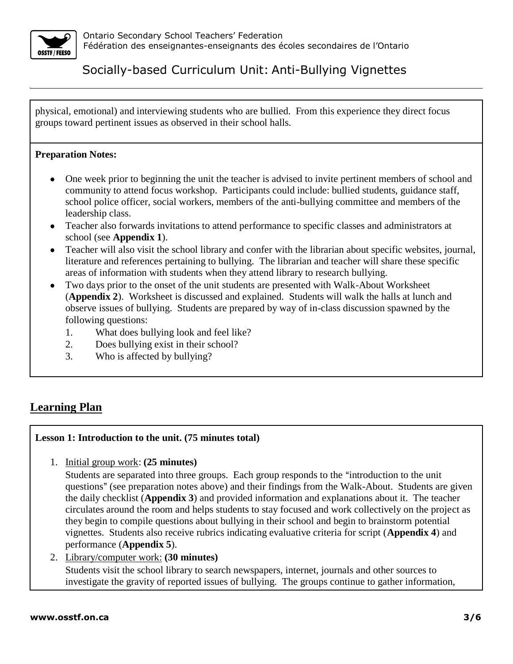

physical, emotional) and interviewing students who are bullied. From this experience they direct focus groups toward pertinent issues as observed in their school halls.

## **Preparation Notes:**

- One week prior to beginning the unit the teacher is advised to invite pertinent members of school and community to attend focus workshop. Participants could include: bullied students, guidance staff, school police officer, social workers, members of the anti-bullying committee and members of the leadership class.
- Teacher also forwards invitations to attend performance to specific classes and administrators at school (see **Appendix 1**).
- Teacher will also visit the school library and confer with the librarian about specific websites, journal, literature and references pertaining to bullying. The librarian and teacher will share these specific areas of information with students when they attend library to research bullying.
- Two days prior to the onset of the unit students are presented with Walk-About Worksheet (**Appendix 2**). Worksheet is discussed and explained. Students will walk the halls at lunch and observe issues of bullying. Students are prepared by way of in-class discussion spawned by the following questions:
	- 1. What does bullying look and feel like?
	- 2. Does bullying exist in their school?
	- 3. Who is affected by bullying?

# **Learning Plan**

### **Lesson 1: Introduction to the unit. (75 minutes total)**

1. Initial group work: **(25 minutes)** 

Students are separated into three groups. Each group responds to the "introduction to the unit" questions" (see preparation notes above) and their findings from the Walk-About. Students are given the daily checklist (**Appendix 3**) and provided information and explanations about it. The teacher circulates around the room and helps students to stay focused and work collectively on the project as they begin to compile questions about bullying in their school and begin to brainstorm potential vignettes. Students also receive rubrics indicating evaluative criteria for script (**Appendix 4**) and performance (**Appendix 5**).

2. Library/computer work: **(30 minutes)** Students visit the school library to search newspapers, internet, journals and other sources to investigate the gravity of reported issues of bullying. The groups continue to gather information,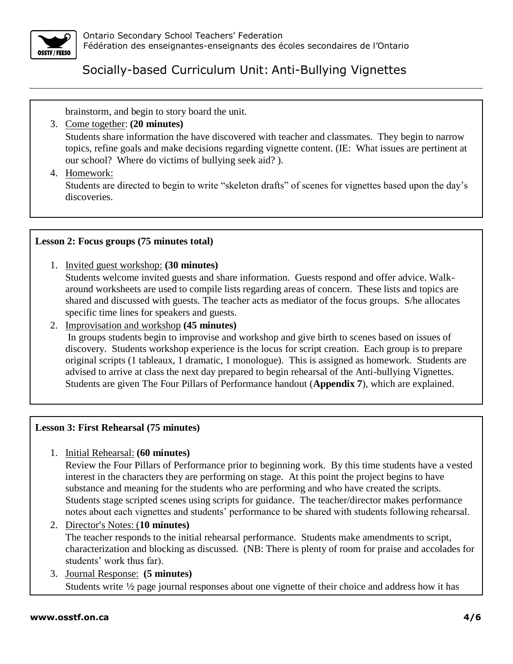

brainstorm, and begin to story board the unit.

- 3. Come together: **(20 minutes)** Students share information the have discovered with teacher and classmates. They begin to narrow topics, refine goals and make decisions regarding vignette content. (IE: What issues are pertinent at our school? Where do victims of bullying seek aid? ).
- 4. Homework:

Students are directed to begin to write "skeleton drafts" of scenes for vignettes based upon the day's discoveries.

# **Lesson 2: Focus groups (75 minutes total)**

1. Invited guest workshop: **(30 minutes)**

Students welcome invited guests and share information. Guests respond and offer advice. Walkaround worksheets are used to compile lists regarding areas of concern. These lists and topics are shared and discussed with guests. The teacher acts as mediator of the focus groups. S/he allocates specific time lines for speakers and guests.

2. Improvisation and workshop **(45 minutes)**

In groups students begin to improvise and workshop and give birth to scenes based on issues of discovery. Students workshop experience is the locus for script creation. Each group is to prepare original scripts (1 tableaux, 1 dramatic, 1 monologue). This is assigned as homework. Students are advised to arrive at class the next day prepared to begin rehearsal of the Anti-bullying Vignettes. Students are given The Four Pillars of Performance handout (**Appendix 7**), which are explained.

# **Lesson 3: First Rehearsal (75 minutes)**

# 1. Initial Rehearsal: **(60 minutes)**

Review the Four Pillars of Performance prior to beginning work. By this time students have a vested interest in the characters they are performing on stage. At this point the project begins to have substance and meaning for the students who are performing and who have created the scripts. Students stage scripted scenes using scripts for guidance. The teacher/director makes performance notes about each vignettes and students' performance to be shared with students following rehearsal.

2. Director's Notes: (**10 minutes**) The teacher responds to the initial rehearsal performance. Students make amendments to script, characterization and blocking as discussed. (NB: There is plenty of room for praise and accolades for

students' work thus far). 3. Journal Response: **(5 minutes)** Students write  $\frac{1}{2}$  page journal responses about one vignette of their choice and address how it has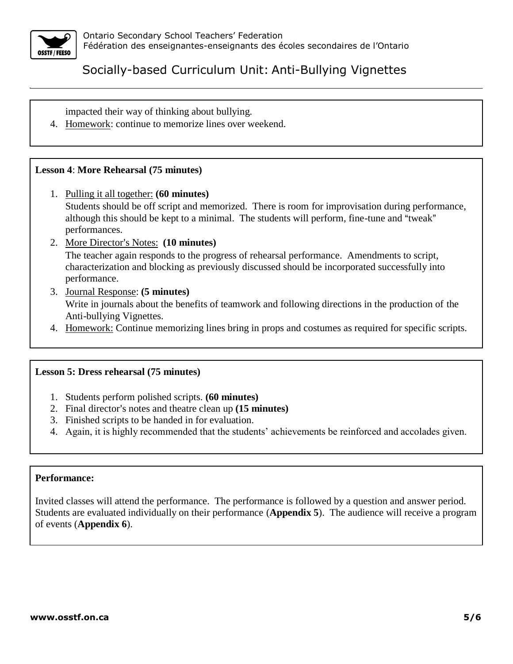

impacted their way of thinking about bullying.

4. Homework: continue to memorize lines over weekend.

## **Lesson 4**: **More Rehearsal (75 minutes)**

- 1. Pulling it all together: **(60 minutes)** Students should be off script and memorized. There is room for improvisation during performance, although this should be kept to a minimal. The students will perform, fine-tune and "tweak" performances.
- 2. More Director's Notes: **(10 minutes)**

The teacher again responds to the progress of rehearsal performance. Amendments to script, characterization and blocking as previously discussed should be incorporated successfully into performance.

- 3. Journal Response: **(5 minutes)** Write in journals about the benefits of teamwork and following directions in the production of the Anti-bullying Vignettes.
- 4. Homework: Continue memorizing lines bring in props and costumes as required for specific scripts.

### **Lesson 5: Dress rehearsal (75 minutes)**

- 1. Students perform polished scripts. **(60 minutes)**
- 2. Final director's notes and theatre clean up (15 minutes)
- 3. Finished scripts to be handed in for evaluation.
- 4. Again, it is highly recommended that the students' achievements be reinforced and accolades given.

### **Performance:**

Invited classes will attend the performance. The performance is followed by a question and answer period. Students are evaluated individually on their performance (**Appendix 5**). The audience will receive a program of events (**Appendix 6**).